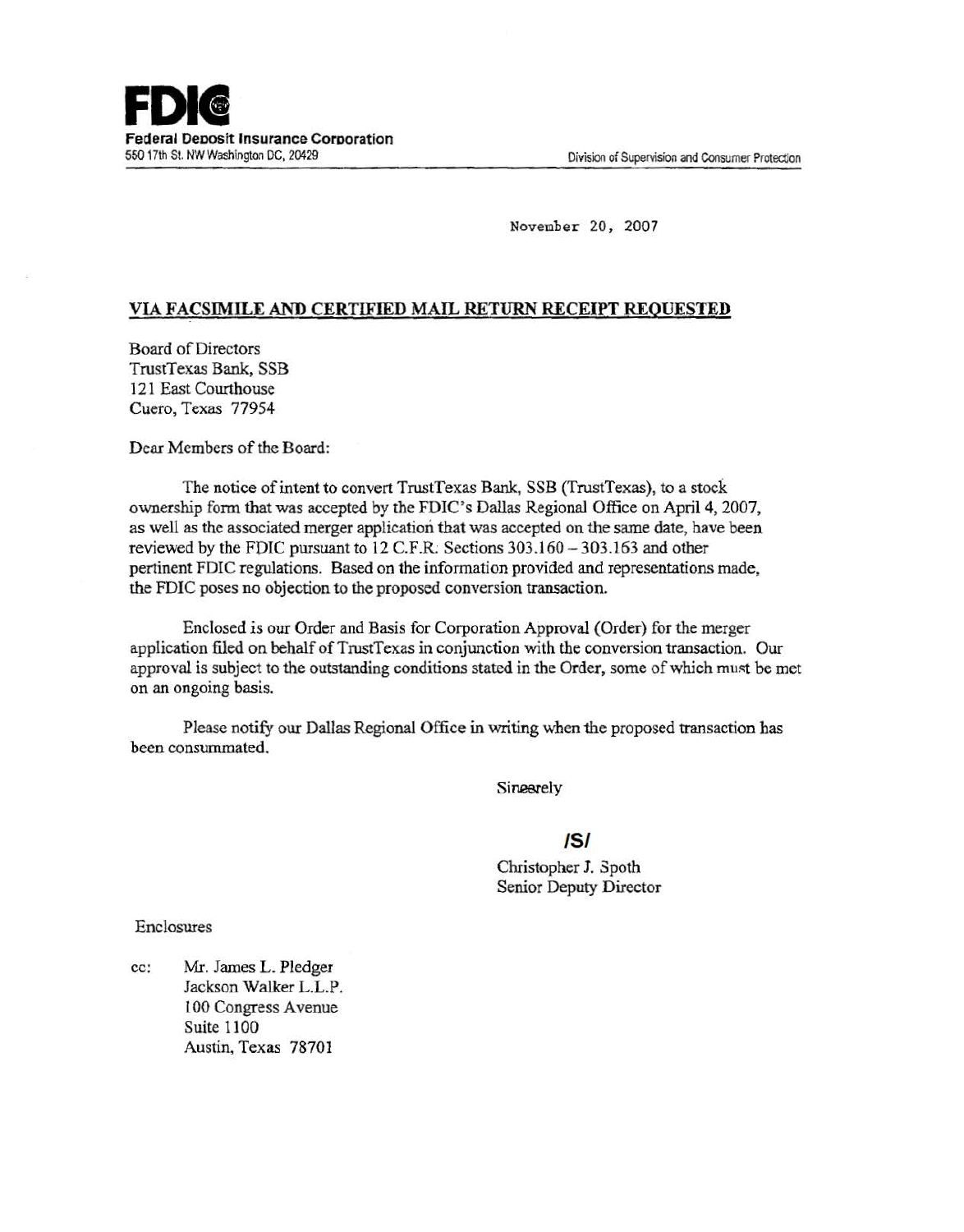

November 20, 2007

#### VIA FACSIMILE AND CERTIFIED MAIL RETURN RECEIPT REQUESTED

Board of Directors TrustTexas Bank, SSB 121 East Courthouse Cuero, Texas 77954

Dear Members of the Board:

The notice of intent to convert TrustTexas Bank, SSB (TrustTexas), to a stock ownership form that was accepted by the FDIC's Dallas Regional Office on April4, 2007, as well as the associated merger application that was accepted on the same date, have been reviewed by the FDIC pursuant to 12 C.F.R. Sections 303.160 - 303.163 and other pertinent FDIC regulations. Based on the information provided and representations made , the FDIC poses no objection to the proposed conversion transaction .

Enclosed is our Order and Basis for Corporation Approval (Order) for the merger application filed on behalf of TrustTexas in conjunction with the conversion transaction. Our approval is subject to the outstanding conditions stated in the Order, some of which must be met on an ongoing basis.

Please notify our Dallas Regional Office in writing when the proposed transaction has been consummated.

Sineerely

#### /5/

Christopher J. Spoth Senior Deputy Director

Enclosures

cc: Mr. James L. Pledger Jackson Walker L.L.P. lOO Congress Avenue Suite 1100 Austin, Texas 78701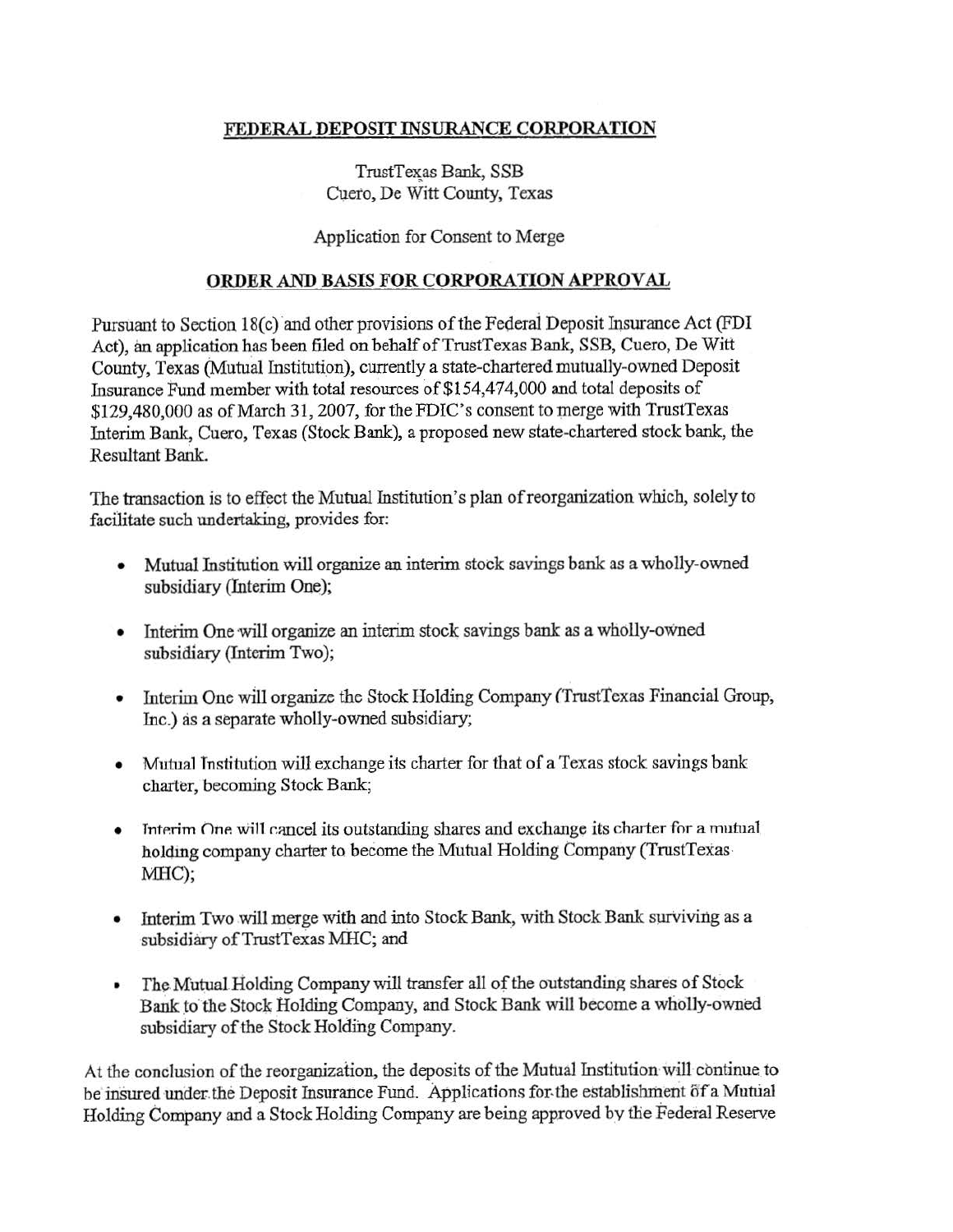# FEDERAL DEPOSIT INSURANCE CORPORATION

TrustTexas Bank, SSB Cuero, De Witt County, Texas

# Application for Consent to Merge

### ORDER AND BASIS FOR CORPORATION APPROVAL

Pursuant to Section 18(c) and other provisions of the Federal Deposit Insurance Act (FDI Act), an application has been filed on behalf of TrustTexas Bank, SSB, Cuero, De Witt County, Texas (Mutual Institution), currently a state-chartered mutually-owned Deposit Insurance Fund member with total resources of \$154,474,000 and total deposits of \$129,480,000 as of March 31, 2007, for the FDIC's consent to merge with TrustTexas Interim Bank, Cuero, Texas (Stock Bank), a proposed new state-chartered stock bank, the Resultant Bank.

The transaction is to effect the Mutual Institution's plan of reorganization which, solely to facilitate such undertaking, provides for:

- Mutual Institution will organize an interim stock savings bank as a wholly-owned subsidiary (Interim One);
- Interim One will organize an interim stock savings bank as a wholly-owned subsidiary (Interim Two);
- Interim One will organize the Stock Holding Company (TrustTexas Financial Group, Inc.) as a separate wholly-owned subsidiary;
- Mutual Tnstitution will exchange its charter for that of a Texas stock savings bank charter, becoming Stock Bank;
- Interim One will cancel its outstanding shares and exchange its charter for a mutual holding company charter to become the Mutual Holding Company (TrustTexas-:MHC);
- Interim Two will merge with and into Stock Bank, with Stock Bank surviving as a subsidiary of TrustTexas MHC; and
- The Mutual Holding Company will transfer all of the outstanding shares of Stock Bank to the Stock Holding Company, and Stock Bank will become a wholly-owned subsidiary of the Stock Holding Company.

At the conclusion of the reorganization, the deposits of the Mutual Institution will continue to be insured under the Deposit Insurance Fund. Applications for the establishment of a Mutual Holding Company and a Stock Holding Company are being approved by the Federal Reserve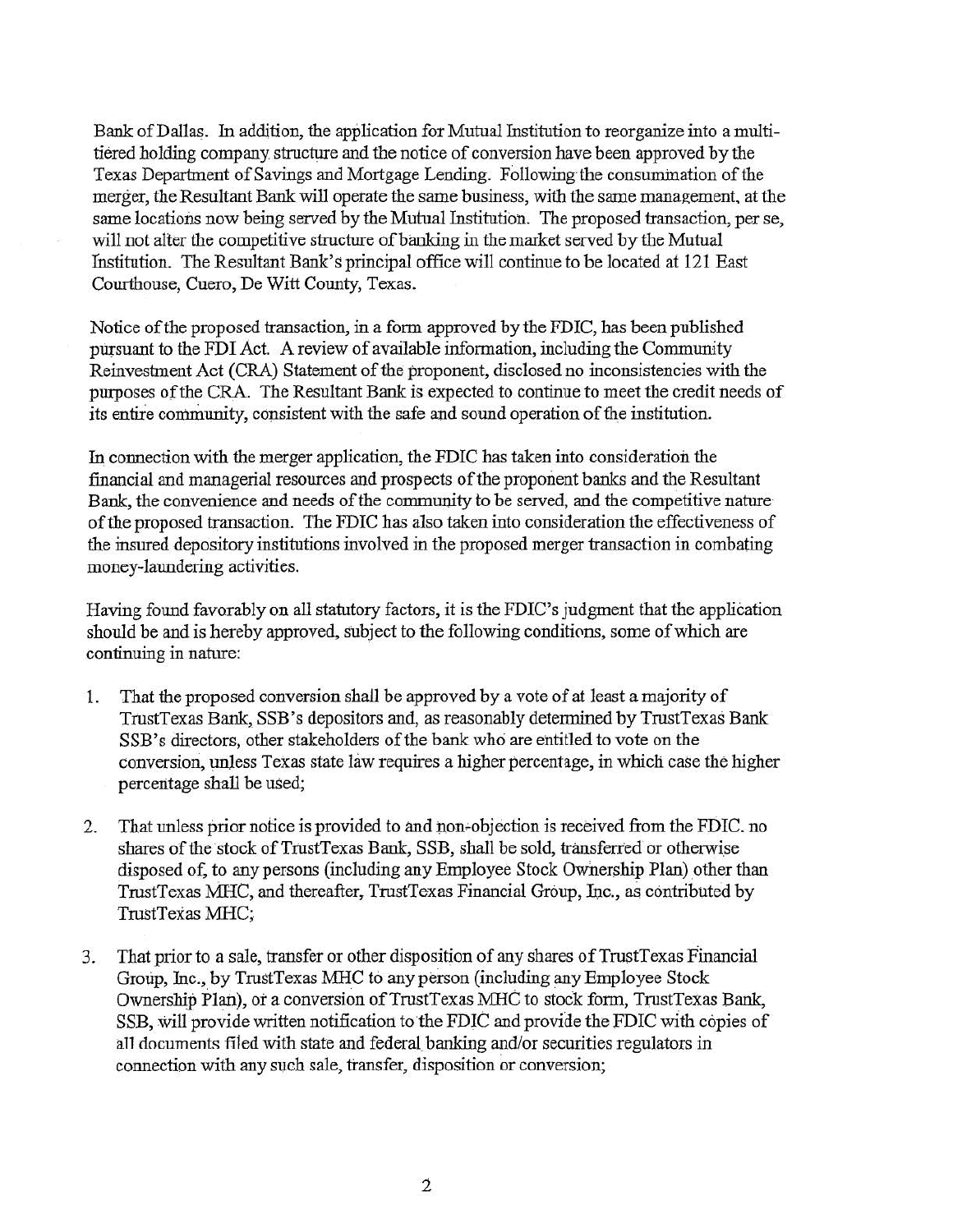Bank of Dallas. In addition, the application for Mutual Institution to reorganize into a multitiered holding company structure and the notice of conversion have been approved by the Texas Department of Savings and Mortgage Lending. Following the consumination of the merger, the Resultant Bank will operate the same business, with the same management. at the same locations now being served by the Mutual Institution. The proposed transaction, per se, will not alter the competitive structure of banking in the market served by the Mutual Institution. The Resultant Bank's principal office will continue to be located at 121 East Courthouse, Cuero, De Witt County, Texas.

Notice of the proposed transaction, in a form approved by the FDIC, has been published pursuant to the FDI Act. A review of available information, including the Community Reinvestment Act (CRA) Statement of the proponent, disclosed no inconsistencies with the purposes of the CRA. The Resultant Bank is expected to continue to meet the credit needs of its entire community, consistent with the safe and sound operation of the institution.

In connection with the merger application, the FDIC has taken into consideration the financial and managerial resources and prospects of the proponent banks and the Resultant Bank, the convenience and needs of the community to be served, and the competitive nature of the proposed transaction. The FDIC has also taken into consideration the effectiveness of the insured depository institutions involved in the proposed merger transaction in combating money-laundering activities.

Having found favorably on all statutory factors, it is the FDIC's judgment that the application should be and is hereby approved, subject to the following conditions, some of which are continuing in nature:

- 1. That the proposed conversion shall be approved by a vote of at least a majority of TrustTexas Bank, SSB's depositors and, as reasonably detennined by TrustTexas Bank SSB's directors, other stakeholders of the bank who are entitled to vote on the conversion, unless Texas state law requires a higher percentage, in which case the higher percentage shall be used;
- 2. That unless prior notice is provided to and non-objection is received from the FDIC. no shares of the stock of TrustTexas Bank, SSB, shall be sold, transferred or otherwise disposed of, to any persons (including any Employee Stock Ownership Plan) other than TrustTexas MHC, and thereafter, TrustTexas Financial Group, Inc., as contributed by TrustTexas MHC;
- 3. That prior to a sale, transfer or other disposition of any shares of TrustTexas Financial Grotip, Inc., by TrustTexas MHC to any person (including any Employee Stock Ownership Plan), or a conversion of TrustTexas MHC to stock form, TrustTexas Bank, SSB, will provide written notification to the FDIC and provide the FDIC with copies of all documents filed with state and federal. banking and/or securities regulators in connection with any such sale, transfer, disposition or conversion;